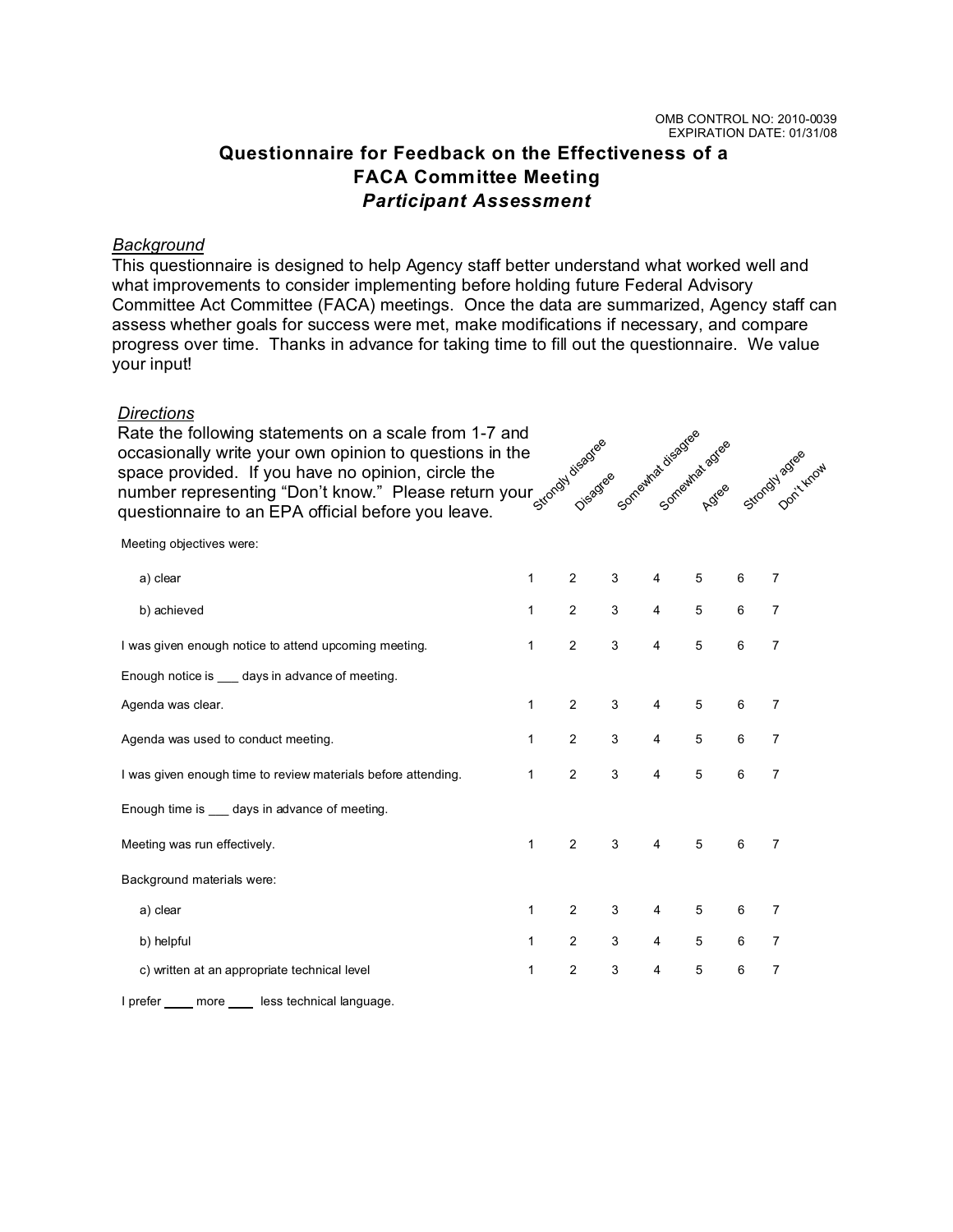## **Questionnaire for Feedback on the Effectiveness of a FACA Committee Meeting** *Participant Assessment*

## *Background*

This questionnaire is designed to help Agency staff better understand what worked well and what improvements to consider implementing before holding future Federal Advisory Committee Act Committee (FACA) meetings. Once the data are summarized, Agency staff can assess whether goals for success were met, make modifications if necessary, and compare progress over time. Thanks in advance for taking time to fill out the questionnaire. We value your input!

## *Directions*

Rate the following statements on a scale from 1-7 and occasionally write your own opinion to questions in the space provided. If you have no opinion, circle the number representing "Don't know." Please return your occasionally write your own opinion to questions in the space provided. If you have no opinion, circle the number representing "Don't know." Please return your  $\frac{1}{560}$  s and questionnaire to an EPA official before you



Meeting objectives were:

| a) clear                                                      | 1            | 2              | 3 | 4              | 5 | 6 | 7              |
|---------------------------------------------------------------|--------------|----------------|---|----------------|---|---|----------------|
| b) achieved                                                   | 1            | 2              | 3 | $\overline{4}$ | 5 | 6 | 7              |
| I was given enough notice to attend upcoming meeting.         | $\mathbf{1}$ | 2              | 3 | $\overline{4}$ | 5 | 6 | $\overline{7}$ |
| Enough notice is days in advance of meeting.                  |              |                |   |                |   |   |                |
| Agenda was clear.                                             | $\mathbf{1}$ | 2              | 3 | $\overline{4}$ | 5 | 6 | 7              |
| Agenda was used to conduct meeting.                           | 1            | 2              | 3 | $\overline{4}$ | 5 | 6 | $\overline{7}$ |
| I was given enough time to review materials before attending. | $\mathbf{1}$ | 2              | 3 | $\overline{4}$ | 5 | 6 | $\overline{7}$ |
| Enough time is ____ days in advance of meeting.               |              |                |   |                |   |   |                |
| Meeting was run effectively.                                  | $\mathbf{1}$ | 2              | 3 | $\overline{4}$ | 5 | 6 | $\overline{7}$ |
| Background materials were:                                    |              |                |   |                |   |   |                |
| a) clear                                                      | 1            | 2              | 3 | 4              | 5 | 6 | $\overline{7}$ |
| b) helpful                                                    | 1            | 2              | 3 | 4              | 5 | 6 | 7              |
| c) written at an appropriate technical level                  | 1            | $\overline{c}$ | 3 | 4              | 5 | 6 | 7              |

I prefer \_\_\_\_ more \_\_\_\_ less technical language.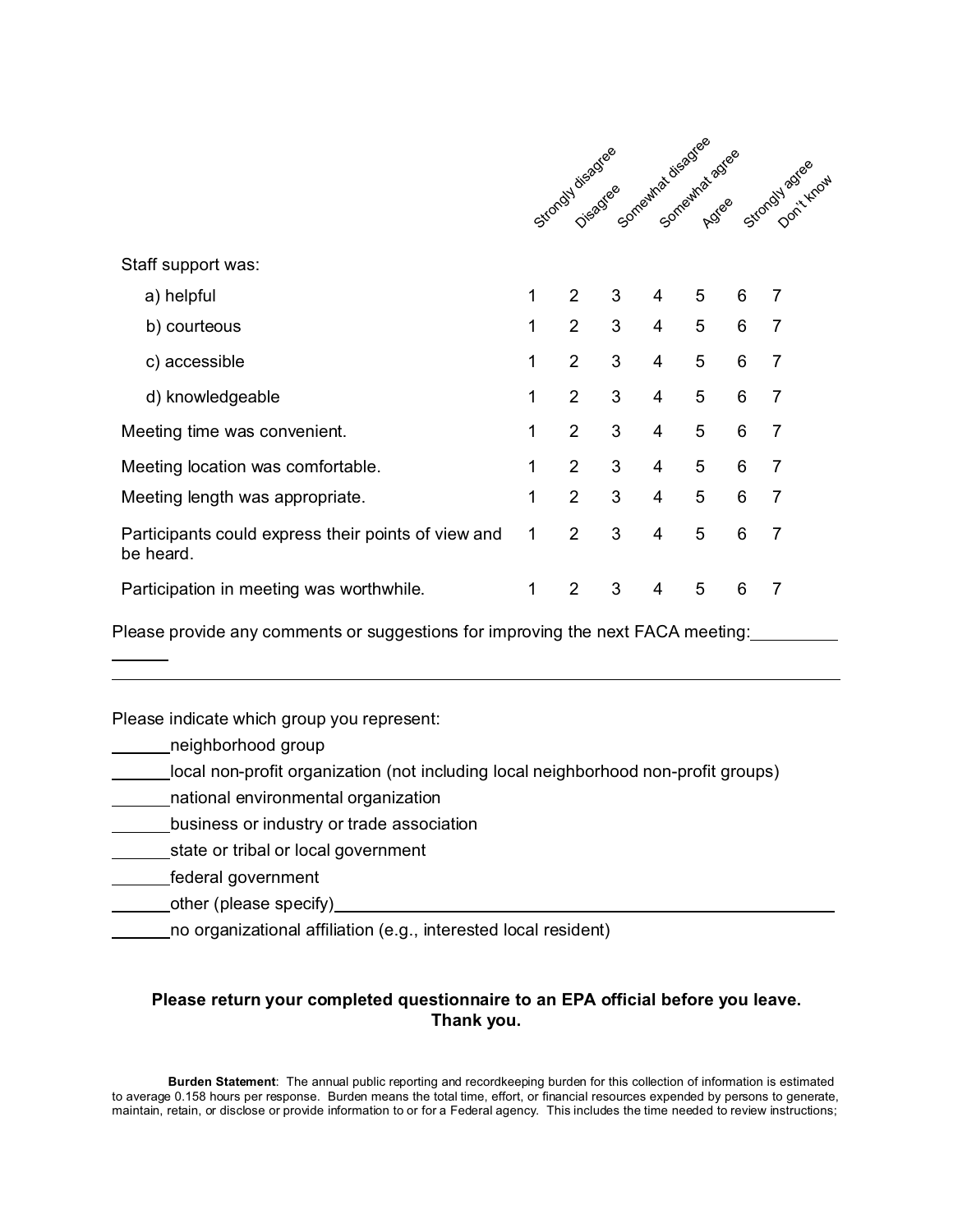|                                                                  |   |                |   | Sitonay Jiegds & Something disadjee Adee |   |   | Stordy agreement |
|------------------------------------------------------------------|---|----------------|---|------------------------------------------|---|---|------------------|
| Staff support was:                                               |   |                |   |                                          |   |   |                  |
| a) helpful                                                       | 1 | $\overline{2}$ | 3 | 4                                        | 5 | 6 | $\overline{7}$   |
| b) courteous                                                     | 1 | $\overline{2}$ | 3 | $\overline{4}$                           | 5 | 6 | $\overline{7}$   |
| c) accessible                                                    | 1 | 2              | 3 | $\overline{4}$                           | 5 | 6 | $\overline{7}$   |
| d) knowledgeable                                                 | 1 | $\overline{2}$ | 3 | 4                                        | 5 | 6 | $\overline{7}$   |
| Meeting time was convenient.                                     | 1 | $\overline{2}$ | 3 | 4                                        | 5 | 6 | $\overline{7}$   |
| Meeting location was comfortable.                                | 1 | $\overline{2}$ | 3 | 4                                        | 5 | 6 | $\overline{7}$   |
| Meeting length was appropriate.                                  | 1 | $\overline{2}$ | 3 | 4                                        | 5 | 6 | $\overline{7}$   |
| Participants could express their points of view and<br>be heard. | 1 | $\overline{2}$ | 3 | 4                                        | 5 | 6 | $\overline{7}$   |
| Participation in meeting was worthwhile.                         | 1 | $\overline{2}$ | 3 | 4                                        | 5 | 6 | 7                |

Please provide any comments or suggestions for improving the next FACA meeting:

Please indicate which group you represent:

neighborhood group

 $\overline{a}$ 

- local non-profit organization (not including local neighborhood non-profit groups)
- national environmental organization
- business or industry or trade association
- state or tribal or local government
- **federal government**
- \_\_\_\_\_\_\_\_other (please specify)\_\_\_\_\_\_\_\_\_\_\_\_
	- no organizational affiliation (e.g., interested local resident)

## **Please return your completed questionnaire to an EPA official before you leave. Thank you.**

**Burden Statement**: The annual public reporting and recordkeeping burden for this collection of information is estimated to average 0.158 hours per response. Burden means the total time, effort, or financial resources expended by persons to generate, maintain, retain, or disclose or provide information to or for a Federal agency. This includes the time needed to review instructions;